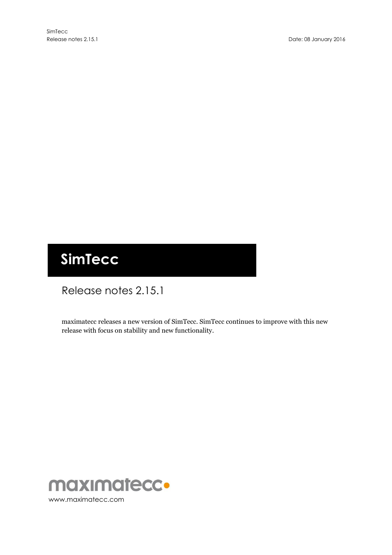# **SimTecc**

# Release notes 2.15.1

maximatecc releases a new version of SimTecc. SimTecc continues to improve with this new release with focus on stability and new functionality.

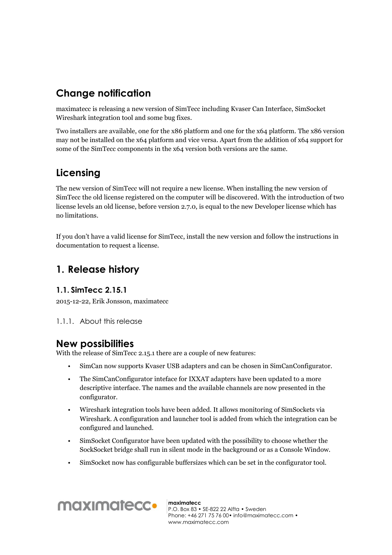## **Change notification**

maximatecc is releasing a new version of SimTecc including Kvaser Can Interface, SimSocket Wireshark integration tool and some bug fixes.

Two installers are available, one for the x86 platform and one for the x64 platform. The x86 version may not be installed on the x64 platform and vice versa. Apart from the addition of x64 support for some of the SimTecc components in the x64 version both versions are the same.

# **Licensing**

The new version of SimTecc will not require a new license. When installing the new version of SimTecc the old license registered on the computer will be discovered. With the introduction of two license levels an old license, before version 2.7.0, is equal to the new Developer license which has no limitations.

If you don't have a valid license for SimTecc, install the new version and follow the instructions in documentation to request a license.

### **1. Release history**

#### **1.1. SimTecc 2.15.1**

2015-12-22, Erik Jonsson, maximatecc

1.1.1. About this release

### **New possibilities**

With the release of SimTecc 2.15.1 there are a couple of new features:

- SimCan now supports Kvaser USB adapters and can be chosen in SimCanConfigurator.
- The SimCanConfigurator inteface for IXXAT adapters have been updated to a more descriptive interface. The names and the available channels are now presented in the configurator.
- Wireshark integration tools have been added. It allows monitoring of SimSockets via Wireshark. A configuration and launcher tool is added from which the integration can be configured and launched.
- SimSocket Configurator have been updated with the possibility to choose whether the SockSocket bridge shall run in silent mode in the background or as a Console Window.
- SimSocket now has configurable buffersizes which can be set in the configurator tool.



**maximatecc** P.O. Box 83 • SE-822 22 Alfta • Sweden Phone: +46 271 75 76 00• info@maximatecc.com • www.maximatecc.com